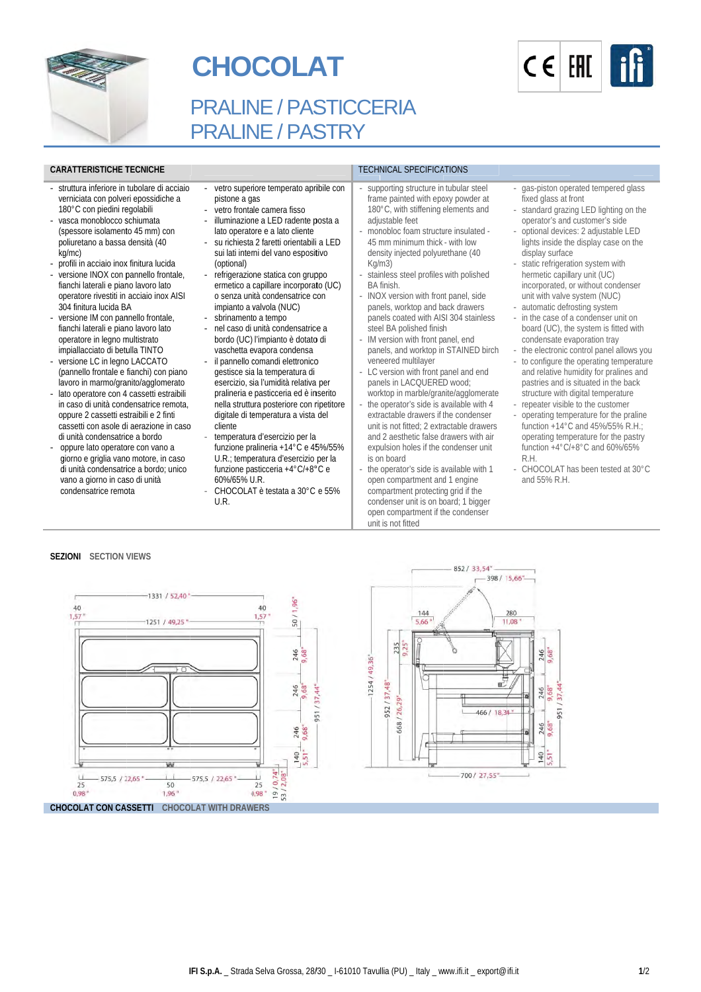

# **CHOCOLAT**



## PRALINE / PASTICCERIA PRALINE / PASTRY

#### **CAR RATTERISTICHE T TECNICHE**

- struttura inferiore in tubolare di acciaio ve erniciata con polve ri epossidiche a 180°C con piedini regolabili
- vasca monoblocco schiumata (s spessore isolament to 45 mm) con po oliuretano a bassa densità (40 kg g/mc)
- profili in acciaio inox finitura lucida
- versione INOX con pannello frontale, fianchi laterali e piano lavoro lato o peratore rivestiti in acciaio inox AISI 30 04 finitura lucida BA
- ve ersione IM con pan Annello frontale, fianchi laterali e piano lavoro lato o peratore in legno m multistrato impiallacciato di betulla TINTO
- versione LC in legno LACCATO (p pannello frontale e fianchi) con piano lavoro in marmo/granito/agglomerato
- lato operatore con 4 cassetti estraibili in caso di unità condensatrice remota, oppure 2 cassetti estraibili e 2 finti ca assetti con asole d i aerazione in caso di unità condensatrice a bordo
- oppure lato operatore con vano a giorno e griglia vano motore, in caso di unità condensatrice a bordo; unico vano a giorno in caso di unità condensatrice remota
- pistone a ga as iore temperato apribile con
- vetro fronta le camera fisso
- illuminazione a LED radente posta a lato operatore e a lato cliente
- su richiesta 2 faretti orientabili a LED sui lati interni del vano espositivo (optional) - refrigerazione statica con gruppo
- ermetico a capillare incorporato (UC) o senza unità condensatrice con impianto a valvola (NUC) - sbrinamento a tempo
- nel caso di unità condensatrice a bordo (UC) l'impianto è dotato di vaschetta e evapora condensa - il pannello comandi elettronico
- extro super<br>
pistone a given<br>
pistone a given<br>
pistone a given<br>
lluminazior<br>
lato operate<br>
sui lati inter<br>
(optional)<br>
 refrigerazio<br>
ermetico a<br>
o senza uni<br>
impianto a<br>
mistona<br>
 subriance intervalsed<br>
 il pannello (g gestisce sia a la temperatura di il pannello comandi elettronico<br>gestisce sia la temperatura di<br>esercizio, sia l'umidità relativa per pralineria e pasticceria ed è inserito nella struttura posteriore con ripetitore digitale di temperatura a vista del cliente
	- temperatura d'esercizio per la funzione pralineria +14°C e 45%/55% U.R.; temperatura d'esercizio per la funzione pasticceria +4°C/+8°C e 60%/65% U U.R.
	- CHOCOLAT è testata a 30°C e 55% U.R.

- supporting structure in tubular steel frame painted with epoxy powder at 180°C, with stiffening elements and adju ustable feet

TECHNICAL SPECIFICATIONS

- monobloc foam structure insulated -45 m mm minimum thick - with low density injected polyurethane (40 Kg/m m3)
- stai nless steel profiles with polished BA finish.
- INOX version with front panel, side pan els, worktop and b ack drawers panels coated with AISI 304 stainless steel BA polished finish
- IM v version with front p anel, end panels, and worktop in STAINED birch ven eered multilayer
- LC version with front panel and end pan els in LACQUERE D wood; worktop in marble/granite/agglomerate
- the operator's side is available with 4 extractable drawers if the condenser unit is not fitted; 2 extr actable drawers and 2 aesthetic false drawers with air expulsion holes if the condenser unit is o n board
- the operator's side is available with 1 open compartment and 1 engine compartment protecting grid if the con denser unit is on b oard; 1 bigger open compartment if the condenser unit is not fitted
- gas-piston operated tempered glass fixed glass at f front
- standard grazi ng LED lighting on the operator's and customer's side
- optional devices: 2 adjustable LED lights inside the display case on the display surface
- static refrigeration system with hermetic capill lary unit (UC) incorporated, or without condenser unit with valve system (NUC)
- automatic defrosting system - in the case of a condenser unit on board (UC), the system is fitted with condensate evaporation tray
- the electronic control panel allows you
- to configure the operating temperature and relative humidity for pralines and pastries and is situated in the back structure with digital temperature
- repeater visible to the customer
- operating temperature for the praline function +14°C C and 45%/55% R. H.; operating temperature for the pastry function +4°C/+8°C and 60%/65% R.H. function +4°C/+8°C and 60%/65%<br>R.H.<br>- CHOCOLAT has been tested at 30°C
- and 55% R.H.